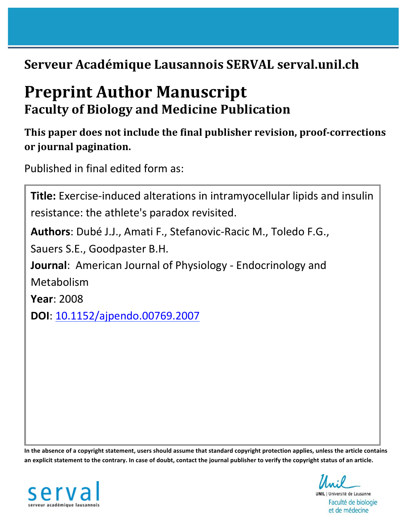# **Serveur Académique Lausannois SERVAL serval.unil.ch**

# **Preprint Author Manuscript Faculty of Biology and Medicine Publication**

# This paper does not include the final publisher revision, proof-corrections **or journal pagination.**

Published in final edited form as:

| Title: Exercise-induced alterations in intramy ocellular lipids and insulin |  |  |
|-----------------------------------------------------------------------------|--|--|
| resistance: the athlete's paradox revisited.                                |  |  |
| Authors: Dubé J.J., Amati F., Stefanovic-Racic M., Toledo F.G.,             |  |  |
| Sauers S.E., Goodpaster B.H.                                                |  |  |
| <b>Journal:</b> American Journal of Physiology - Endocrinology and          |  |  |
| Metabolism                                                                  |  |  |
| <b>Year: 2008</b>                                                           |  |  |
| <b>DOI:</b> 10.1152/ajpendo.00769.2007                                      |  |  |
|                                                                             |  |  |
|                                                                             |  |  |

In the absence of a copyright statement, users should assume that standard copyright protection applies, unless the article contains an explicit statement to the contrary. In case of doubt, contact the journal publisher to verify the copyright status of an article.



**UNIL** | Université de Lausanne

Faculté de biologie et de médecine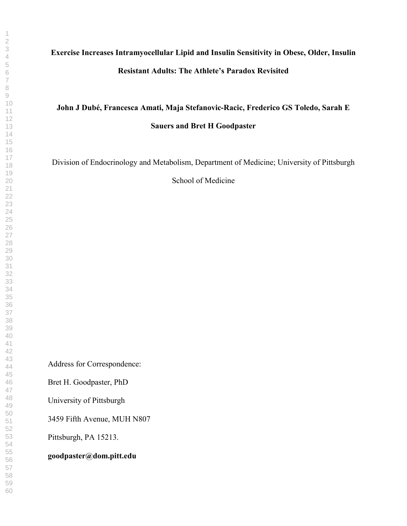# **Exercise Increases Intramyocellular Lipid and Insulin Sensitivity in Obese, Older, Insulin Resistant Adults: The Athlete's Paradox Revisited**

## **John J Dubé, Francesca Amati, Maja Stefanovic-Racic, Frederico GS Toledo, Sarah E Sauers and Bret H Goodpaster**

Division of Endocrinology and Metabolism, Department of Medicine; University of Pittsburgh

School of Medicine

Address for Correspondence:

Bret H. Goodpaster, PhD

University of Pittsburgh

3459 Fifth Avenue, MUH N807

Pittsburgh, PA 15213.

**goodpaster@dom.pitt.edu**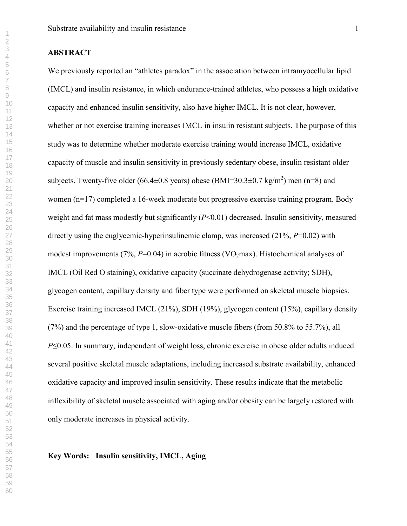#### **ABSTRACT**

We previously reported an "athletes paradox" in the association between intramyocellular lipid (IMCL) and insulin resistance, in which endurance-trained athletes, who possess a high oxidative capacity and enhanced insulin sensitivity, also have higher IMCL. It is not clear, however, whether or not exercise training increases IMCL in insulin resistant subjects. The purpose of this study was to determine whether moderate exercise training would increase IMCL, oxidative capacity of muscle and insulin sensitivity in previously sedentary obese, insulin resistant older subjects. Twenty-five older (66.4 $\pm$ 0.8 years) obese (BMI=30.3 $\pm$ 0.7 kg/m<sup>2</sup>) men (n=8) and women (n=17) completed a 16-week moderate but progressive exercise training program. Body weight and fat mass modestly but significantly (*P*<0.01) decreased. Insulin sensitivity, measured directly using the euglycemic-hyperinsulinemic clamp, was increased (21%, *P*=0.02) with modest improvements  $(7\%, P=0.04)$  in aerobic fitness (VO<sub>2</sub>max). Histochemical analyses of IMCL (Oil Red O staining), oxidative capacity (succinate dehydrogenase activity; SDH), glycogen content, capillary density and fiber type were performed on skeletal muscle biopsies. Exercise training increased IMCL (21%), SDH (19%), glycogen content (15%), capillary density (7%) and the percentage of type 1, slow-oxidative muscle fibers (from 50.8% to 55.7%), all  $P\leq 0.05$ . In summary, independent of weight loss, chronic exercise in obese older adults induced several positive skeletal muscle adaptations, including increased substrate availability, enhanced oxidative capacity and improved insulin sensitivity. These results indicate that the metabolic inflexibility of skeletal muscle associated with aging and/or obesity can be largely restored with only moderate increases in physical activity.

**Key Words: Insulin sensitivity, IMCL, Aging**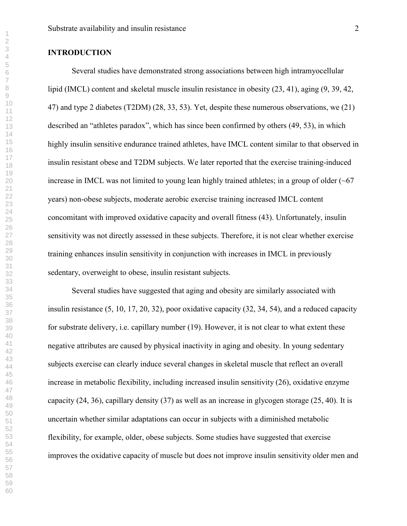#### **INTRODUCTION**

Several studies have demonstrated strong associations between high intramyocellular lipid (IMCL) content and skeletal muscle insulin resistance in obesity (23, 41), aging (9, 39, 42, 47) and type 2 diabetes (T2DM) (28, 33, 53). Yet, despite these numerous observations, we (21) described an "athletes paradox", which has since been confirmed by others (49, 53), in which highly insulin sensitive endurance trained athletes, have IMCL content similar to that observed in insulin resistant obese and T2DM subjects. We later reported that the exercise training-induced increase in IMCL was not limited to young lean highly trained athletes; in a group of older  $(-67)$ years) non-obese subjects, moderate aerobic exercise training increased IMCL content concomitant with improved oxidative capacity and overall fitness (43). Unfortunately, insulin sensitivity was not directly assessed in these subjects. Therefore, it is not clear whether exercise training enhances insulin sensitivity in conjunction with increases in IMCL in previously sedentary, overweight to obese, insulin resistant subjects.

Several studies have suggested that aging and obesity are similarly associated with insulin resistance (5, 10, 17, 20, 32), poor oxidative capacity (32, 34, 54), and a reduced capacity for substrate delivery, i.e. capillary number (19). However, it is not clear to what extent these negative attributes are caused by physical inactivity in aging and obesity. In young sedentary subjects exercise can clearly induce several changes in skeletal muscle that reflect an overall increase in metabolic flexibility, including increased insulin sensitivity (26), oxidative enzyme capacity (24, 36), capillary density (37) as well as an increase in glycogen storage (25, 40). It is uncertain whether similar adaptations can occur in subjects with a diminished metabolic flexibility, for example, older, obese subjects. Some studies have suggested that exercise improves the oxidative capacity of muscle but does not improve insulin sensitivity older men and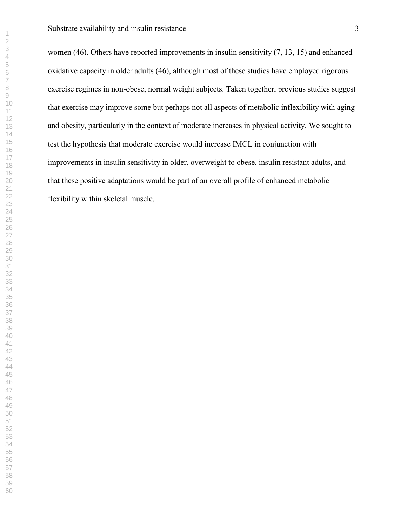Substrate availability and insulin resistance 3

women (46). Others have reported improvements in insulin sensitivity (7, 13, 15) and enhanced oxidative capacity in older adults (46), although most of these studies have employed rigorous exercise regimes in non-obese, normal weight subjects. Taken together, previous studies suggest that exercise may improve some but perhaps not all aspects of metabolic inflexibility with aging and obesity, particularly in the context of moderate increases in physical activity. We sought to test the hypothesis that moderate exercise would increase IMCL in conjunction with improvements in insulin sensitivity in older, overweight to obese, insulin resistant adults, and that these positive adaptations would be part of an overall profile of enhanced metabolic flexibility within skeletal muscle.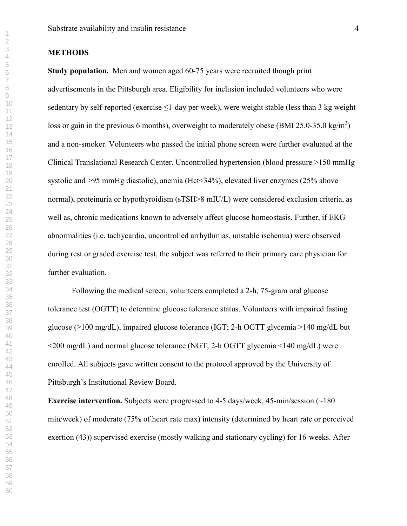### **METHODS**

**Study population.** Men and women aged 60-75 years were recruited though print advertisements in the Pittsburgh area. Eligibility for inclusion included volunteers who were sedentary by self-reported (exercise  $\leq$ 1-day per week), were weight stable (less than 3 kg weightloss or gain in the previous 6 months), overweight to moderately obese (BMI 25.0-35.0 kg/m<sup>2</sup>) and a non-smoker. Volunteers who passed the initial phone screen were further evaluated at the Clinical Translational Research Center. Uncontrolled hypertension (blood pressure >150 mmHg systolic and >95 mmHg diastolic), anemia (Hct<34%), elevated liver enzymes (25% above normal), proteinuria or hypothyroidism (sTSH>8 mIU/L) were considered exclusion criteria, as well as, chronic medications known to adversely affect glucose homeostasis. Further, if EKG abnormalities (i.e. tachycardia, uncontrolled arrhythmias, unstable ischemia) were observed during rest or graded exercise test, the subject was referred to their primary care physician for further evaluation.

Following the medical screen, volunteers completed a 2-h, 75-gram oral glucose tolerance test (OGTT) to determine glucose tolerance status. Volunteers with impaired fasting glucose ( $\geq$ 100 mg/dL), impaired glucose tolerance (IGT; 2-h OGTT glycemia >140 mg/dL but  $\leq$ 200 mg/dL) and normal glucose tolerance (NGT; 2-h OGTT glycemia  $\leq$ 140 mg/dL) were enrolled. All subjects gave written consent to the protocol approved by the University of Pittsburgh's Institutional Review Board.

**Exercise intervention.** Subjects were progressed to 4-5 days/week, 45-min/session (~180) min/week) of moderate (75% of heart rate max) intensity (determined by heart rate or perceived exertion (43)) supervised exercise (mostly walking and stationary cycling) for 16-weeks. After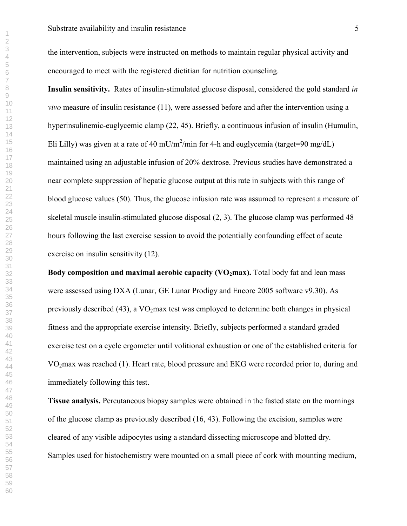the intervention, subjects were instructed on methods to maintain regular physical activity and encouraged to meet with the registered dietitian for nutrition counseling.

**Insulin sensitivity.** Rates of insulin-stimulated glucose disposal, considered the gold standard *in vivo* measure of insulin resistance (11), were assessed before and after the intervention using a hyperinsulinemic-euglycemic clamp (22, 45). Briefly, a continuous infusion of insulin (Humulin, Eli Lilly) was given at a rate of 40 mU/m<sup>2</sup>/min for 4-h and euglycemia (target=90 mg/dL) maintained using an adjustable infusion of 20% dextrose. Previous studies have demonstrated a near complete suppression of hepatic glucose output at this rate in subjects with this range of blood glucose values (50). Thus, the glucose infusion rate was assumed to represent a measure of skeletal muscle insulin-stimulated glucose disposal (2, 3). The glucose clamp was performed 48 hours following the last exercise session to avoid the potentially confounding effect of acute exercise on insulin sensitivity (12).

**Body composition and maximal aerobic capacity (VO<sub>2</sub>max).** Total body fat and lean mass were assessed using DXA (Lunar, GE Lunar Prodigy and Encore 2005 software v9.30). As previously described (43), a  $VO<sub>2</sub>max$  test was employed to determine both changes in physical fitness and the appropriate exercise intensity. Briefly, subjects performed a standard graded exercise test on a cycle ergometer until volitional exhaustion or one of the established criteria for VO<sub>2</sub>max was reached (1). Heart rate, blood pressure and EKG were recorded prior to, during and immediately following this test.

**Tissue analysis.** Percutaneous biopsy samples were obtained in the fasted state on the mornings of the glucose clamp as previously described (16, 43). Following the excision, samples were cleared of any visible adipocytes using a standard dissecting microscope and blotted dry. Samples used for histochemistry were mounted on a small piece of cork with mounting medium,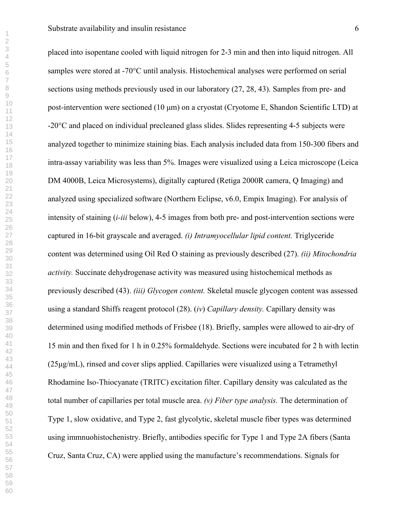placed into isopentane cooled with liquid nitrogen for 2-3 min and then into liquid nitrogen. All samples were stored at -70°C until analysis. Histochemical analyses were performed on serial sections using methods previously used in our laboratory (27, 28, 43). Samples from pre- and post-intervention were sectioned (10 µm) on a cryostat (Cryotome E, Shandon Scientific LTD) at -20°C and placed on individual precleaned glass slides. Slides representing 4-5 subjects were analyzed together to minimize staining bias. Each analysis included data from 150-300 fibers and intra-assay variability was less than 5%. Images were visualized using a Leica microscope (Leica DM 4000B, Leica Microsystems), digitally captured (Retiga 2000R camera, Q Imaging) and analyzed using specialized software (Northern Eclipse, v6.0, Empix Imaging). For analysis of intensity of staining (*i-iii* below), 4-5 images from both pre- and post-intervention sections were captured in 16-bit grayscale and averaged. *(i) Intramyocellular lipid content.* Triglyceride content was determined using Oil Red O staining as previously described (27). *(ii) Mitochondria activity.* Succinate dehydrogenase activity was measured using histochemical methods as previously described (43). *(iii) Glycogen content.* Skeletal muscle glycogen content was assessed using a standard Shiffs reagent protocol (28). (*iv*) *Capillary density.* Capillary density was determined using modified methods of Frisbee (18). Briefly, samples were allowed to air-dry of 15 min and then fixed for 1 h in 0.25% formaldehyde. Sections were incubated for 2 h with lectin (25µg/mL), rinsed and cover slips applied. Capillaries were visualized using a Tetramethyl Rhodamine Iso-Thiocyanate (TRITC) excitation filter. Capillary density was calculated as the total number of capillaries per total muscle area. *(v) Fiber type analysis.* The determination of Type 1, slow oxidative, and Type 2, fast glycolytic, skeletal muscle fiber types was determined using immnuohistochenistry. Briefly, antibodies specific for Type 1 and Type 2A fibers (Santa

Cruz, Santa Cruz, CA) were applied using the manufacture's recommendations. Signals for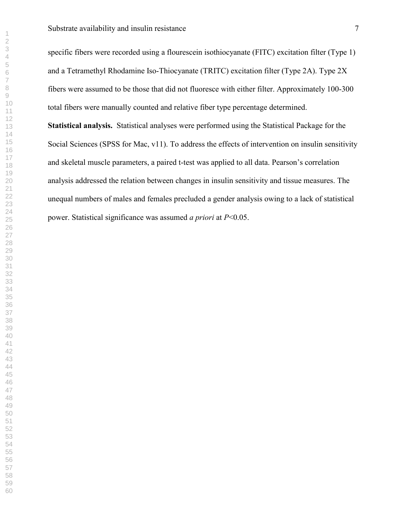specific fibers were recorded using a flourescein isothiocyanate (FITC) excitation filter (Type 1) and a Tetramethyl Rhodamine Iso-Thiocyanate (TRITC) excitation filter (Type 2A). Type 2X fibers were assumed to be those that did not fluoresce with either filter. Approximately 100-300 total fibers were manually counted and relative fiber type percentage determined. **Statistical analysis.** Statistical analyses were performed using the Statistical Package for the Social Sciences (SPSS for Mac, v11). To address the effects of intervention on insulin sensitivity and skeletal muscle parameters, a paired t-test was applied to all data. Pearson's correlation analysis addressed the relation between changes in insulin sensitivity and tissue measures. The unequal numbers of males and females precluded a gender analysis owing to a lack of statistical power. Statistical significance was assumed *a priori* at *P*<0.05.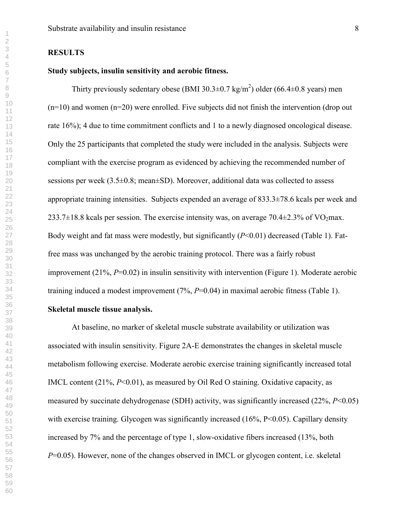#### **RESULTS**

#### **Study subjects, insulin sensitivity and aerobic fitness.**

Thirty previously sedentary obese (BMI 30.3 $\pm$ 0.7 kg/m<sup>2</sup>) older (66.4 $\pm$ 0.8 years) men  $(n=10)$  and women  $(n=20)$  were enrolled. Five subjects did not finish the intervention (drop out rate 16%); 4 due to time commitment conflicts and 1 to a newly diagnosed oncological disease. Only the 25 participants that completed the study were included in the analysis. Subjects were compliant with the exercise program as evidenced by achieving the recommended number of sessions per week  $(3.5\pm0.8; \text{mean} \pm SD)$ . Moreover, additional data was collected to assess appropriate training intensities. Subjects expended an average of 833.3±78.6 kcals per week and 233.7 $\pm$ 18.8 kcals per session. The exercise intensity was, on average 70.4 $\pm$ 2.3% of VO<sub>2</sub>max. Body weight and fat mass were modestly, but significantly (*P*<0.01) decreased (Table 1). Fatfree mass was unchanged by the aerobic training protocol. There was a fairly robust improvement (21%, *P*=0.02) in insulin sensitivity with intervention (Figure 1). Moderate aerobic training induced a modest improvement (7%, *P*=0.04) in maximal aerobic fitness (Table 1).

#### **Skeletal muscle tissue analysis.**

 At baseline, no marker of skeletal muscle substrate availability or utilization was associated with insulin sensitivity. Figure 2A-E demonstrates the changes in skeletal muscle metabolism following exercise. Moderate aerobic exercise training significantly increased total IMCL content (21%, *P*<0.01), as measured by Oil Red O staining. Oxidative capacity, as measured by succinate dehydrogenase (SDH) activity, was significantly increased (22%, *P*<0.05) with exercise training. Glycogen was significantly increased (16%, P<0.05). Capillary density increased by 7% and the percentage of type 1, slow-oxidative fibers increased (13%, both *P*=0.05). However, none of the changes observed in IMCL or glycogen content, i.e. skeletal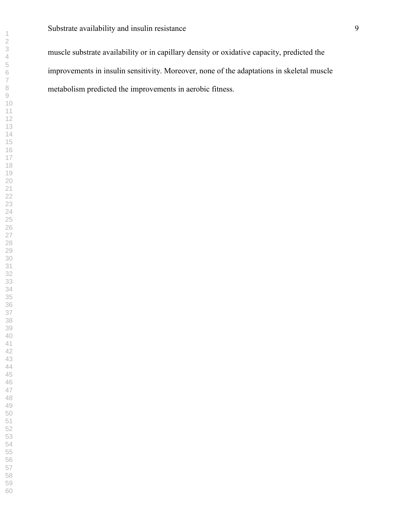muscle substrate availability or in capillary density or oxidative capacity, predicted the improvements in insulin sensitivity. Moreover, none of the adaptations in skeletal muscle metabolism predicted the improvements in aerobic fitness.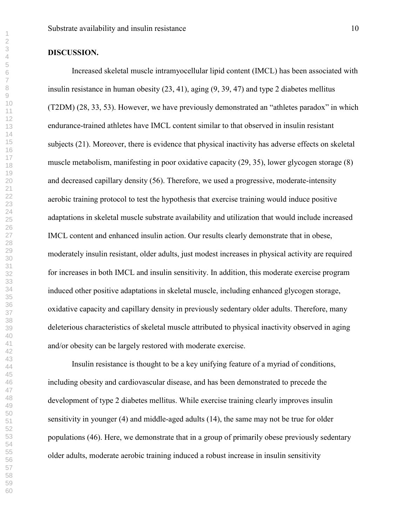#### **DISCUSSION.**

Increased skeletal muscle intramyocellular lipid content (IMCL) has been associated with insulin resistance in human obesity (23, 41), aging (9, 39, 47) and type 2 diabetes mellitus (T2DM) (28, 33, 53). However, we have previously demonstrated an "athletes paradox" in which endurance-trained athletes have IMCL content similar to that observed in insulin resistant subjects (21). Moreover, there is evidence that physical inactivity has adverse effects on skeletal muscle metabolism, manifesting in poor oxidative capacity (29, 35), lower glycogen storage (8) and decreased capillary density (56). Therefore, we used a progressive, moderate-intensity aerobic training protocol to test the hypothesis that exercise training would induce positive adaptations in skeletal muscle substrate availability and utilization that would include increased IMCL content and enhanced insulin action. Our results clearly demonstrate that in obese, moderately insulin resistant, older adults, just modest increases in physical activity are required for increases in both IMCL and insulin sensitivity. In addition, this moderate exercise program induced other positive adaptations in skeletal muscle, including enhanced glycogen storage, oxidative capacity and capillary density in previously sedentary older adults. Therefore, many deleterious characteristics of skeletal muscle attributed to physical inactivity observed in aging and/or obesity can be largely restored with moderate exercise.

 Insulin resistance is thought to be a key unifying feature of a myriad of conditions, including obesity and cardiovascular disease, and has been demonstrated to precede the development of type 2 diabetes mellitus. While exercise training clearly improves insulin sensitivity in younger (4) and middle-aged adults (14), the same may not be true for older populations (46). Here, we demonstrate that in a group of primarily obese previously sedentary older adults, moderate aerobic training induced a robust increase in insulin sensitivity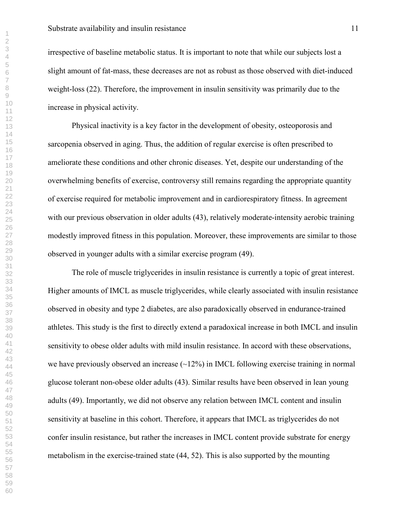irrespective of baseline metabolic status. It is important to note that while our subjects lost a slight amount of fat-mass, these decreases are not as robust as those observed with diet-induced weight-loss (22). Therefore, the improvement in insulin sensitivity was primarily due to the increase in physical activity.

 Physical inactivity is a key factor in the development of obesity, osteoporosis and sarcopenia observed in aging. Thus, the addition of regular exercise is often prescribed to ameliorate these conditions and other chronic diseases. Yet, despite our understanding of the overwhelming benefits of exercise, controversy still remains regarding the appropriate quantity of exercise required for metabolic improvement and in cardiorespiratory fitness. In agreement with our previous observation in older adults (43), relatively moderate-intensity aerobic training modestly improved fitness in this population. Moreover, these improvements are similar to those observed in younger adults with a similar exercise program (49).

 The role of muscle triglycerides in insulin resistance is currently a topic of great interest. Higher amounts of IMCL as muscle triglycerides, while clearly associated with insulin resistance observed in obesity and type 2 diabetes, are also paradoxically observed in endurance-trained athletes. This study is the first to directly extend a paradoxical increase in both IMCL and insulin sensitivity to obese older adults with mild insulin resistance. In accord with these observations, we have previously observed an increase  $(\sim 12\%)$  in IMCL following exercise training in normal glucose tolerant non-obese older adults (43). Similar results have been observed in lean young adults (49). Importantly, we did not observe any relation between IMCL content and insulin sensitivity at baseline in this cohort. Therefore, it appears that IMCL as triglycerides do not confer insulin resistance, but rather the increases in IMCL content provide substrate for energy metabolism in the exercise-trained state (44, 52). This is also supported by the mounting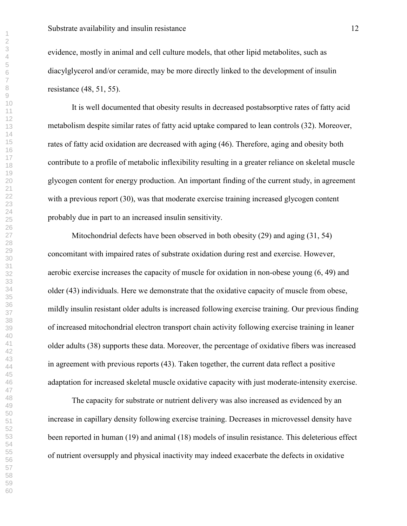evidence, mostly in animal and cell culture models, that other lipid metabolites, such as diacylglycerol and/or ceramide, may be more directly linked to the development of insulin resistance (48, 51, 55).

 It is well documented that obesity results in decreased postabsorptive rates of fatty acid metabolism despite similar rates of fatty acid uptake compared to lean controls (32). Moreover, rates of fatty acid oxidation are decreased with aging (46). Therefore, aging and obesity both contribute to a profile of metabolic inflexibility resulting in a greater reliance on skeletal muscle glycogen content for energy production. An important finding of the current study, in agreement with a previous report (30), was that moderate exercise training increased glycogen content probably due in part to an increased insulin sensitivity.

Mitochondrial defects have been observed in both obesity (29) and aging (31, 54) concomitant with impaired rates of substrate oxidation during rest and exercise. However, aerobic exercise increases the capacity of muscle for oxidation in non-obese young (6, 49) and older (43) individuals. Here we demonstrate that the oxidative capacity of muscle from obese, mildly insulin resistant older adults is increased following exercise training. Our previous finding of increased mitochondrial electron transport chain activity following exercise training in leaner older adults (38) supports these data. Moreover, the percentage of oxidative fibers was increased in agreement with previous reports (43). Taken together, the current data reflect a positive adaptation for increased skeletal muscle oxidative capacity with just moderate-intensity exercise.

The capacity for substrate or nutrient delivery was also increased as evidenced by an increase in capillary density following exercise training. Decreases in microvessel density have been reported in human (19) and animal (18) models of insulin resistance. This deleterious effect of nutrient oversupply and physical inactivity may indeed exacerbate the defects in oxidative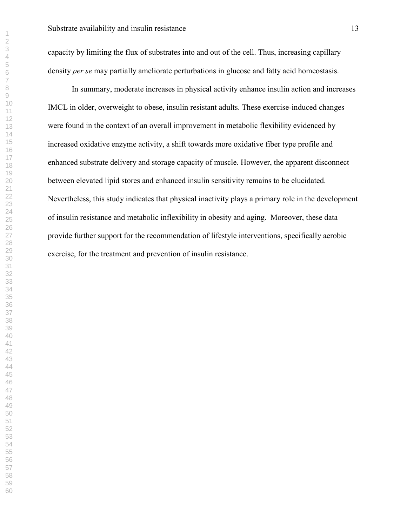capacity by limiting the flux of substrates into and out of the cell. Thus, increasing capillary density *per se* may partially ameliorate perturbations in glucose and fatty acid homeostasis.

In summary, moderate increases in physical activity enhance insulin action and increases IMCL in older, overweight to obese, insulin resistant adults. These exercise-induced changes were found in the context of an overall improvement in metabolic flexibility evidenced by increased oxidative enzyme activity, a shift towards more oxidative fiber type profile and enhanced substrate delivery and storage capacity of muscle. However, the apparent disconnect between elevated lipid stores and enhanced insulin sensitivity remains to be elucidated. Nevertheless, this study indicates that physical inactivity plays a primary role in the development of insulin resistance and metabolic inflexibility in obesity and aging. Moreover, these data provide further support for the recommendation of lifestyle interventions, specifically aerobic exercise, for the treatment and prevention of insulin resistance.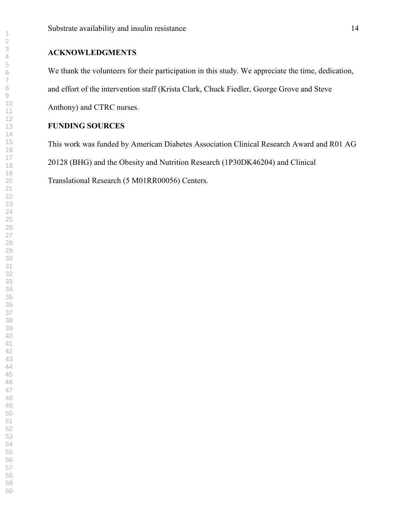### **ACKNOWLEDGMENTS**

We thank the volunteers for their participation in this study. We appreciate the time, dedication, and effort of the intervention staff (Krista Clark, Chuck Fiedler, George Grove and Steve Anthony) and CTRC nurses.

### **FUNDING SOURCES**

This work was funded by American Diabetes Association Clinical Research Award and R01 AG

20128 (BHG) and the Obesity and Nutrition Research (1P30DK46204) and Clinical

Translational Research (5 M01RR00056) Centers.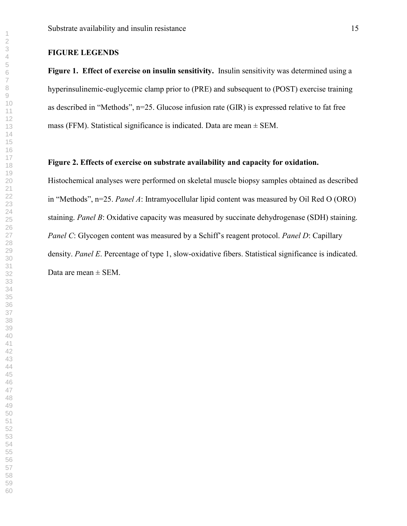#### **FIGURE LEGENDS**

**Figure 1. Effect of exercise on insulin sensitivity.** Insulin sensitivity was determined using a hyperinsulinemic-euglycemic clamp prior to (PRE) and subsequent to (POST) exercise training as described in "Methods", n=25. Glucose infusion rate (GIR) is expressed relative to fat free mass (FFM). Statistical significance is indicated. Data are mean  $\pm$  SEM.

#### **Figure 2. Effects of exercise on substrate availability and capacity for oxidation.**

Histochemical analyses were performed on skeletal muscle biopsy samples obtained as described in "Methods", n=25. *Panel A*: Intramyocellular lipid content was measured by Oil Red O (ORO) staining. *Panel B*: Oxidative capacity was measured by succinate dehydrogenase (SDH) staining. *Panel C*: Glycogen content was measured by a Schiff's reagent protocol. *Panel D*: Capillary density. *Panel E*. Percentage of type 1, slow-oxidative fibers. Statistical significance is indicated. Data are mean  $\pm$  SEM.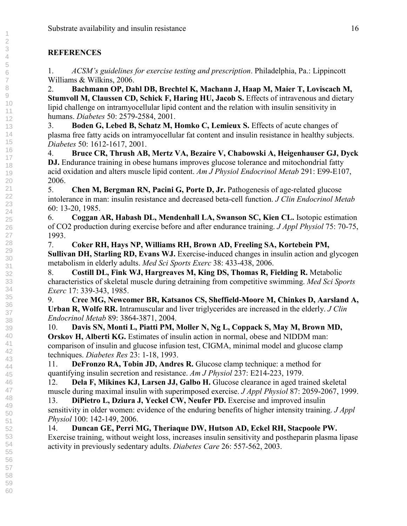### **REFERENCES**

1. *ACSM's guidelines for exercise testing and prescription*. Philadelphia, Pa.: Lippincott Williams & Wilkins, 2006.

2. **Bachmann OP, Dahl DB, Brechtel K, Machann J, Haap M, Maier T, Loviscach M, Stumvoll M, Claussen CD, Schick F, Haring HU, Jacob S.** Effects of intravenous and dietary lipid challenge on intramyocellular lipid content and the relation with insulin sensitivity in humans. *Diabetes* 50: 2579-2584, 2001.

3. **Boden G, Lebed B, Schatz M, Homko C, Lemieux S.** Effects of acute changes of plasma free fatty acids on intramyocellular fat content and insulin resistance in healthy subjects. *Diabetes* 50: 1612-1617, 2001.

4. **Bruce CR, Thrush AB, Mertz VA, Bezaire V, Chabowski A, Heigenhauser GJ, Dyck DJ.** Endurance training in obese humans improves glucose tolerance and mitochondrial fatty acid oxidation and alters muscle lipid content. *Am J Physiol Endocrinol Metab* 291: E99-E107, 2006.

5. **Chen M, Bergman RN, Pacini G, Porte D, Jr.** Pathogenesis of age-related glucose intolerance in man: insulin resistance and decreased beta-cell function. *J Clin Endocrinol Metab* 60: 13-20, 1985.

6. **Coggan AR, Habash DL, Mendenhall LA, Swanson SC, Kien CL.** Isotopic estimation of CO2 production during exercise before and after endurance training. *J Appl Physiol* 75: 70-75, 1993.

7. **Coker RH, Hays NP, Williams RH, Brown AD, Freeling SA, Kortebein PM, Sullivan DH, Starling RD, Evans WJ.** Exercise-induced changes in insulin action and glycogen metabolism in elderly adults. *Med Sci Sports Exerc* 38: 433-438, 2006.

8. **Costill DL, Fink WJ, Hargreaves M, King DS, Thomas R, Fielding R.** Metabolic characteristics of skeletal muscle during detraining from competitive swimming. *Med Sci Sports Exerc* 17: 339-343, 1985.

9. **Cree MG, Newcomer BR, Katsanos CS, Sheffield-Moore M, Chinkes D, Aarsland A, Urban R, Wolfe RR.** Intramuscular and liver triglycerides are increased in the elderly. *J Clin Endocrinol Metab* 89: 3864-3871, 2004.

10. **Davis SN, Monti L, Piatti PM, Moller N, Ng L, Coppack S, May M, Brown MD, Orskov H, Alberti KG.** Estimates of insulin action in normal, obese and NIDDM man: comparison of insulin and glucose infusion test, CIGMA, minimal model and glucose clamp techniques. *Diabetes Res* 23: 1-18, 1993.

11. **DeFronzo RA, Tobin JD, Andres R.** Glucose clamp technique: a method for quantifying insulin secretion and resistance. *Am J Physiol* 237: E214-223, 1979.

12. **Dela F, Mikines KJ, Larsen JJ, Galbo H.** Glucose clearance in aged trained skeletal muscle during maximal insulin with superimposed exercise. *J Appl Physiol* 87: 2059-2067, 1999.

13. **DiPietro L, Dziura J, Yeckel CW, Neufer PD.** Exercise and improved insulin sensitivity in older women: evidence of the enduring benefits of higher intensity training. *J Appl Physiol* 100: 142-149, 2006.

14. **Duncan GE, Perri MG, Theriaque DW, Hutson AD, Eckel RH, Stacpoole PW.** Exercise training, without weight loss, increases insulin sensitivity and postheparin plasma lipase activity in previously sedentary adults. *Diabetes Care* 26: 557-562, 2003.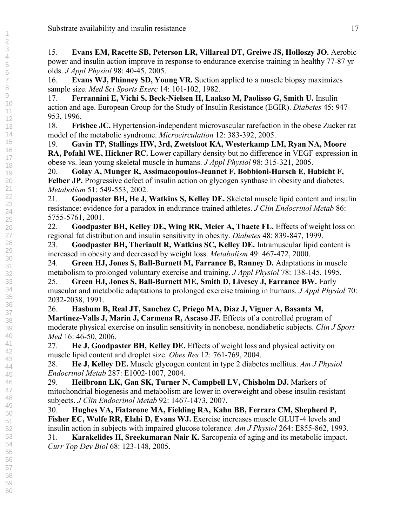15. **Evans EM, Racette SB, Peterson LR, Villareal DT, Greiwe JS, Holloszy JO.** Aerobic power and insulin action improve in response to endurance exercise training in healthy 77-87 yr olds. *J Appl Physiol* 98: 40-45, 2005.

16. **Evans WJ, Phinney SD, Young VR.** Suction applied to a muscle biopsy maximizes sample size. *Med Sci Sports Exerc* 14: 101-102, 1982.

17. **Ferrannini E, Vichi S, Beck-Nielsen H, Laakso M, Paolisso G, Smith U.** Insulin action and age. European Group for the Study of Insulin Resistance (EGIR). *Diabetes* 45: 947- 953, 1996.

18. **Frisbee JC.** Hypertension-independent microvascular rarefaction in the obese Zucker rat model of the metabolic syndrome. *Microcirculation* 12: 383-392, 2005.

19. **Gavin TP, Stallings HW, 3rd, Zwetsloot KA, Westerkamp LM, Ryan NA, Moore RA, Pofahl WE, Hickner RC.** Lower capillary density but no difference in VEGF expression in obese vs. lean young skeletal muscle in humans. *J Appl Physiol* 98: 315-321, 2005.

20. **Golay A, Munger R, Assimacopoulos-Jeannet F, Bobbioni-Harsch E, Habicht F, Felber JP.** Progressive defect of insulin action on glycogen synthase in obesity and diabetes. *Metabolism* 51: 549-553, 2002.

21. **Goodpaster BH, He J, Watkins S, Kelley DE.** Skeletal muscle lipid content and insulin resistance: evidence for a paradox in endurance-trained athletes. *J Clin Endocrinol Metab* 86: 5755-5761, 2001.

22. **Goodpaster BH, Kelley DE, Wing RR, Meier A, Thaete FL.** Effects of weight loss on regional fat distribution and insulin sensitivity in obesity. *Diabetes* 48: 839-847, 1999.

23. **Goodpaster BH, Theriault R, Watkins SC, Kelley DE.** Intramuscular lipid content is increased in obesity and decreased by weight loss. *Metabolism* 49: 467-472, 2000.

24. **Green HJ, Jones S, Ball-Burnett M, Farrance B, Ranney D.** Adaptations in muscle metabolism to prolonged voluntary exercise and training. *J Appl Physiol* 78: 138-145, 1995.

25. **Green HJ, Jones S, Ball-Burnett ME, Smith D, Livesey J, Farrance BW.** Early muscular and metabolic adaptations to prolonged exercise training in humans. *J Appl Physiol* 70: 2032-2038, 1991.

26. **Hasbum B, Real JT, Sanchez C, Priego MA, Diaz J, Viguer A, Basanta M, Martinez-Valls J, Marin J, Carmena R, Ascaso JF.** Effects of a controlled program of moderate physical exercise on insulin sensitivity in nonobese, nondiabetic subjects. *Clin J Sport Med* 16: 46-50, 2006.

27. **He J, Goodpaster BH, Kelley DE.** Effects of weight loss and physical activity on muscle lipid content and droplet size. *Obes Res* 12: 761-769, 2004.

28. **He J, Kelley DE.** Muscle glycogen content in type 2 diabetes mellitus. *Am J Physiol Endocrinol Metab* 287: E1002-1007, 2004.

29. **Heilbronn LK, Gan SK, Turner N, Campbell LV, Chisholm DJ.** Markers of mitochondrial biogenesis and metabolism are lower in overweight and obese insulin-resistant subjects. *J Clin Endocrinol Metab* 92: 1467-1473, 2007.

30. **Hughes VA, Fiatarone MA, Fielding RA, Kahn BB, Ferrara CM, Shepherd P, Fisher EC, Wolfe RR, Elahi D, Evans WJ.** Exercise increases muscle GLUT-4 levels and insulin action in subjects with impaired glucose tolerance. *Am J Physiol* 264: E855-862, 1993. 31. **Karakelides H, Sreekumaran Nair K.** Sarcopenia of aging and its metabolic impact. *Curr Top Dev Biol* 68: 123-148, 2005.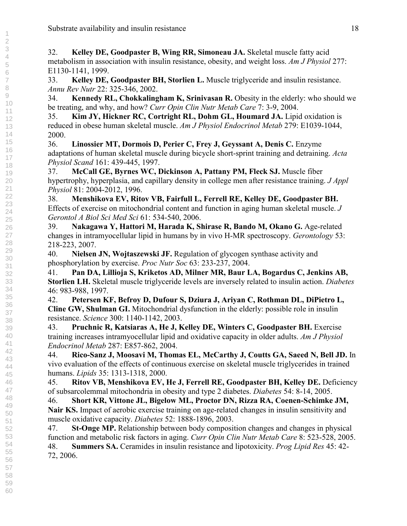32. **Kelley DE, Goodpaster B, Wing RR, Simoneau JA.** Skeletal muscle fatty acid metabolism in association with insulin resistance, obesity, and weight loss. *Am J Physiol* 277: E1130-1141, 1999.

33. **Kelley DE, Goodpaster BH, Storlien L.** Muscle triglyceride and insulin resistance. *Annu Rev Nutr* 22: 325-346, 2002.

34. **Kennedy RL, Chokkalingham K, Srinivasan R.** Obesity in the elderly: who should we be treating, and why, and how? *Curr Opin Clin Nutr Metab Care* 7: 3-9, 2004.

35. **Kim JY, Hickner RC, Cortright RL, Dohm GL, Houmard JA.** Lipid oxidation is reduced in obese human skeletal muscle. *Am J Physiol Endocrinol Metab* 279: E1039-1044, 2000.

36. **Linossier MT, Dormois D, Perier C, Frey J, Geyssant A, Denis C.** Enzyme adaptations of human skeletal muscle during bicycle short-sprint training and detraining. *Acta Physiol Scand* 161: 439-445, 1997.

37. **McCall GE, Byrnes WC, Dickinson A, Pattany PM, Fleck SJ.** Muscle fiber hypertrophy, hyperplasia, and capillary density in college men after resistance training. *J Appl Physiol* 81: 2004-2012, 1996.

38. **Menshikova EV, Ritov VB, Fairfull L, Ferrell RE, Kelley DE, Goodpaster BH.** Effects of exercise on mitochondrial content and function in aging human skeletal muscle. *J Gerontol A Biol Sci Med Sci* 61: 534-540, 2006.

39. **Nakagawa Y, Hattori M, Harada K, Shirase R, Bando M, Okano G.** Age-related changes in intramyocellular lipid in humans by in vivo H-MR spectroscopy. *Gerontology* 53: 218-223, 2007.

40. **Nielsen JN, Wojtaszewski JF.** Regulation of glycogen synthase activity and phosphorylation by exercise. *Proc Nutr Soc* 63: 233-237, 2004.

41. **Pan DA, Lillioja S, Kriketos AD, Milner MR, Baur LA, Bogardus C, Jenkins AB, Storlien LH.** Skeletal muscle triglyceride levels are inversely related to insulin action. *Diabetes* 46: 983-988, 1997.

42. **Petersen KF, Befroy D, Dufour S, Dziura J, Ariyan C, Rothman DL, DiPietro L, Cline GW, Shulman GI.** Mitochondrial dysfunction in the elderly: possible role in insulin resistance. *Science* 300: 1140-1142, 2003.

43. **Pruchnic R, Katsiaras A, He J, Kelley DE, Winters C, Goodpaster BH.** Exercise training increases intramyocellular lipid and oxidative capacity in older adults. *Am J Physiol Endocrinol Metab* 287: E857-862, 2004.

44. **Rico-Sanz J, Moosavi M, Thomas EL, McCarthy J, Coutts GA, Saeed N, Bell JD.** In vivo evaluation of the effects of continuous exercise on skeletal muscle triglycerides in trained humans. *Lipids* 35: 1313-1318, 2000.

45. **Ritov VB, Menshikova EV, He J, Ferrell RE, Goodpaster BH, Kelley DE.** Deficiency of subsarcolemmal mitochondria in obesity and type 2 diabetes. *Diabetes* 54: 8-14, 2005.

46. **Short KR, Vittone JL, Bigelow ML, Proctor DN, Rizza RA, Coenen-Schimke JM, Nair KS.** Impact of aerobic exercise training on age-related changes in insulin sensitivity and muscle oxidative capacity. *Diabetes* 52: 1888-1896, 2003.

47. **St-Onge MP.** Relationship between body composition changes and changes in physical function and metabolic risk factors in aging. *Curr Opin Clin Nutr Metab Care* 8: 523-528, 2005. 48. **Summers SA.** Ceramides in insulin resistance and lipotoxicity. *Prog Lipid Res* 45: 42- 72, 2006.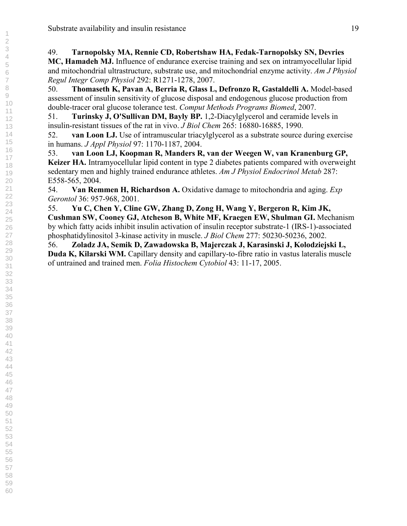## 49. **Tarnopolsky MA, Rennie CD, Robertshaw HA, Fedak-Tarnopolsky SN, Devries MC, Hamadeh MJ.** Influence of endurance exercise training and sex on intramyocellular lipid

and mitochondrial ultrastructure, substrate use, and mitochondrial enzyme activity. *Am J Physiol Regul Integr Comp Physiol* 292: R1271-1278, 2007.

50. **Thomaseth K, Pavan A, Berria R, Glass L, Defronzo R, Gastaldelli A.** Model-based assessment of insulin sensitivity of glucose disposal and endogenous glucose production from double-tracer oral glucose tolerance test. *Comput Methods Programs Biomed*, 2007.

51. **Turinsky J, O'Sullivan DM, Bayly BP.** 1,2-Diacylglycerol and ceramide levels in insulin-resistant tissues of the rat in vivo. *J Biol Chem* 265: 16880-16885, 1990.

52. **van Loon LJ.** Use of intramuscular triacylglycerol as a substrate source during exercise in humans. *J Appl Physiol* 97: 1170-1187, 2004.

53. **van Loon LJ, Koopman R, Manders R, van der Weegen W, van Kranenburg GP, Keizer HA.** Intramyocellular lipid content in type 2 diabetes patients compared with overweight sedentary men and highly trained endurance athletes. *Am J Physiol Endocrinol Metab* 287: E558-565, 2004.

54. **Van Remmen H, Richardson A.** Oxidative damage to mitochondria and aging. *Exp Gerontol* 36: 957-968, 2001.

55. **Yu C, Chen Y, Cline GW, Zhang D, Zong H, Wang Y, Bergeron R, Kim JK, Cushman SW, Cooney GJ, Atcheson B, White MF, Kraegen EW, Shulman GI.** Mechanism by which fatty acids inhibit insulin activation of insulin receptor substrate-1 (IRS-1)-associated phosphatidylinositol 3-kinase activity in muscle. *J Biol Chem* 277: 50230-50236, 2002.

56. **Zoladz JA, Semik D, Zawadowska B, Majerczak J, Karasinski J, Kolodziejski L, Duda K, Kilarski WM.** Capillary density and capillary-to-fibre ratio in vastus lateralis muscle of untrained and trained men. *Folia Histochem Cytobiol* 43: 11-17, 2005.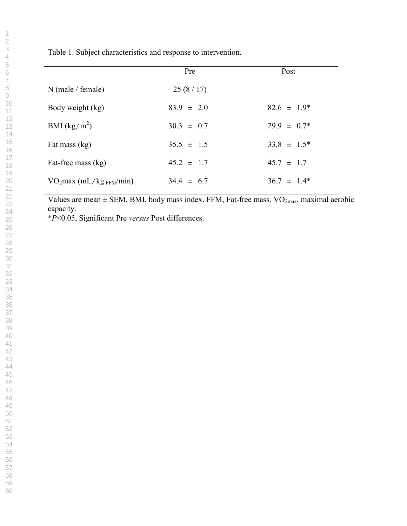Table 1. Subject characteristics and response to intervention.

|                         | Pre            | Post             |
|-------------------------|----------------|------------------|
| $N$ (male / female)     | 25(8/17)       |                  |
| Body weight (kg)        | $83.9 \pm 2.0$ | $82.6 \pm 1.9^*$ |
| BMI $(kg/m^2)$          | $30.3 \pm 0.7$ | $29.9 \pm 0.7^*$ |
| Fat mass (kg)           | $35.5 \pm 1.5$ | $33.8 \pm 1.5^*$ |
| Fat-free mass (kg)      | $45.2 \pm 1.7$ | $45.7 \pm 1.7$   |
| $VO2max (mL/kgFFM/min)$ | $34.4 \pm 6.7$ | $36.7 \pm 1.4^*$ |

Values are mean  $\pm$  SEM. BMI, body mass index. FFM, Fat-free mass. VO<sub>2max</sub>, maximal aerobic capacity.

\**P*<0.05, Significant Pre *versus* Post differences.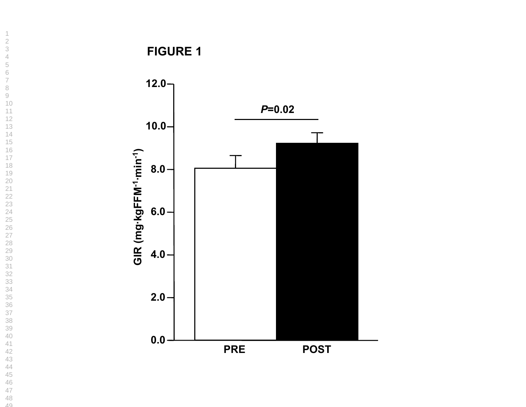